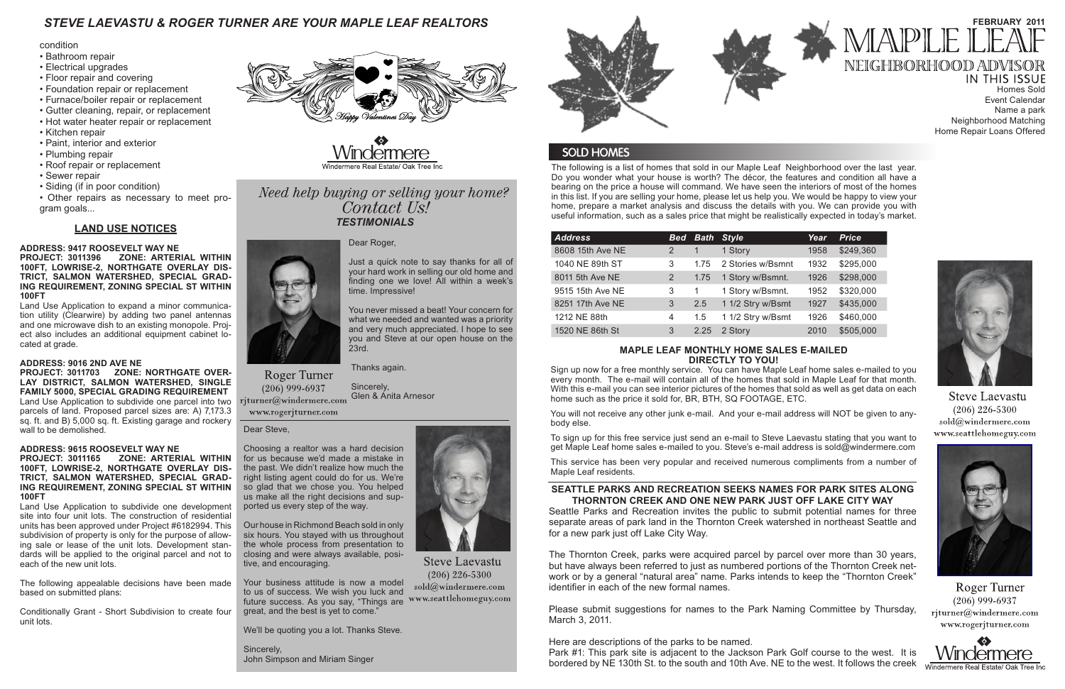The following is a list of homes that sold in our Maple Leaf Neighborhood over the last year. Do you wonder what your house is worth? The décor, the features and condition all have a bearing on the price a house will command. We have seen the interiors of most of the homes in this list. If you are selling your home, please let us help you. We would be happy to view your home, prepare a market analysis and discuss the details with you. We can provide you with useful information, such as a sales price that might be realistically expected in today's market.

# *STEVE LAEVASTU & ROGER TURNER ARE YOUR MAPLE LEAF REALTORS*

### **MAPLE LEAF MONTHLY HOME SALES E-MAILED DIRECTLY TO YOU!**

**IN THIS ISSUE** Homes Sold Event Calendar Name a park Neighborhood Matching Home Repair Loans Offered



**Steve Laevastu**  $(206)$  226-5300 sold@windermere.com www.seattlehomeguy.com



Roger Turner  $(206)$  999-6937 rjturner@windermere.com www.rogerjturner.com



Sign up now for a free monthly service. You can have Maple Leaf home sales e-mailed to you every month. The e-mail will contain all of the homes that sold in Maple Leaf for that month. With this e-mail you can see interior pictures of the homes that sold as well as get data on each home such as the price it sold for, BR, BTH, SQ FOOTAGE, ETC.

You will not receive any other junk e-mail. And your e-mail address will NOT be given to anybody else.

To sign up for this free service just send an e-mail to Steve Laevastu stating that you want to get Maple Leaf home sales e-mailed to you. Steve's e-mail address is sold@windermere.com

This service has been very popular and received numerous compliments from a number of Maple Leaf residents.

| <b>Bed</b> |      |                   | Year              | <b>Price</b> |
|------------|------|-------------------|-------------------|--------------|
|            |      | 1 Story           | 1958              | \$249,360    |
| 3          | 1.75 | 2 Stories w/Bsmnt | 1932              | \$295,000    |
| 2          | 1.75 | 1 Story w/Bsmnt.  | 1926              | \$298,000    |
| 3          | 1    | 1 Story w/Bsmnt.  | 1952              | \$320,000    |
| 3          | 2.5  | 1 1/2 Stry w/Bsmt | 1927              | \$435,000    |
| 4          | 1.5  | 1 1/2 Stry w/Bsmt | 1926              | \$460,000    |
| 3          | 2.25 | 2 Story           | 2010              | \$505,000    |
|            |      |                   | <b>Bath Style</b> |              |

# **SEATTLE PARKS AND RECREATION SEEKS NAMES FOR PARK SITES ALONG THORNTON CREEK AND ONE NEW PARK JUST OFF LAKE CITY WAY**

Seattle Parks and Recreation invites the public to submit potential names for three separate areas of park land in the Thornton Creek watershed in northeast Seattle and for a new park just off Lake City Way.

The Thornton Creek, parks were acquired parcel by parcel over more than 30 years, but have always been referred to just as numbered portions of the Thornton Creek network or by a general "natural area" name. Parks intends to keep the "Thornton Creek" identifier in each of the new formal names.

# Need help buying or selling your home? Contact Us! *TESTIMONIALS*

Please submit suggestions for names to the Park Naming Committee by Thursday, March 3, 2011.

Here are descriptions of the parks to be named. Park #1: This park site is adjacent to the Jackson Park Golf course to the west. It is bordered by NE 130th St. to the south and 10th Ave. NE to the west. It follows the creek



**Steve Laevastu**  $(206)$  226-5300 sold@windermere.com

**Roger Turner**  $(206)$  999-6937 rjturner@windermere.com



# **FEBRUARY 2011** MAPLE NEIGHBORHOOD ADVISOR

#### condition

- Bathroom repair
- Electrical upgrades
- Floor repair and covering
- Foundation repair or replacement
- Furnace/boiler repair or replacement
- Gutter cleaning, repair, or replacement
- Hot water heater repair or replacement
- Kitchen repair
- Paint, interior and exterior
- Plumbing repair
- Roof repair or replacement
- Sewer repair
- Siding (if in poor condition)

• Other repairs as necessary to meet program goals...

# **LAND USE NOTICES**

**ADDRESS: 9417 ROOSEVELT WAY NE PROJECT: 3011396 ZONE: ARTERIAL WITHIN 100FT, LOWRISE-2, NORTHGATE OVERLAY DIS-TRICT, SALMON WATERSHED, SPECIAL GRAD-ING REQUIREMENT, ZONING SPECIAL ST WITHIN 100FT** 

Land Use Application to expand a minor communication utility (Clearwire) by adding two panel antennas and one microwave dish to an existing monopole. Project also includes an additional equipment cabinet located at grade.

# **ADDRESS: 9016 2ND AVE NE**

**PROJECT: 3011703 ZONE: NORTHGATE OVER-LAY DISTRICT, SALMON WATERSHED, SINGLE FAMILY 5000, SPECIAL GRADING REQUIREMENT**  Land Use Application to subdivide one parcel into two parcels of land. Proposed parcel sizes are: A) 7,173.3 sq. ft. and B) 5,000 sq. ft. Existing garage and rockery wall to be demolished.

### **ADDRESS: 9615 ROOSEVELT WAY NE**

#### **PROJECT: 3011165 ZONE: ARTERIAL WITHIN 100FT, LOWRISE-2, NORTHGATE OVERLAY DIS-TRICT, SALMON WATERSHED, SPECIAL GRAD-ING REQUIREMENT, ZONING SPECIAL ST WITHIN 100FT**

Land Use Application to subdivide one development site into four unit lots. The construction of residential units has been approved under Project #6182994. This subdivision of property is only for the purpose of allowing sale or lease of the unit lots. Development standards will be applied to the original parcel and not to each of the new unit lots.

The following appealable decisions have been made based on submitted plans:

Conditionally Grant - Short Subdivision to create four unit lots.



Dear Roger,

Just a quick note to say thanks for all of your hard work in selling our old home and finding one we love! All within a week's time. Impressive!

You never missed a beat! Your concern for what we needed and wanted was a priority and very much appreciated. I hope to see you and Steve at our open house on the 23rd.

Thanks again.

 Sincerely, Glen & Anita Arnesor

www.rogerjturner.com

Dear Steve,

Choosing a realtor was a hard decision for us because we'd made a mistake in the past. We didn't realize how much the right listing agent could do for us. We're so glad that we chose you. You helped us make all the right decisions and supported us every step of the way.

Our house in Richmond Beach sold in only six hours. You stayed with us throughout the whole process from presentation to closing and were always available, positive, and encouraging.

Your business attitude is now a model to us of success. We wish you luck and future success. As you say, "Things are www.seattlehomeguy.com great, and the best is yet to come."

We'll be quoting you a lot. Thanks Steve.

Sincerely, John Simpson and Miriam Singer



# **SOLD HOMES**